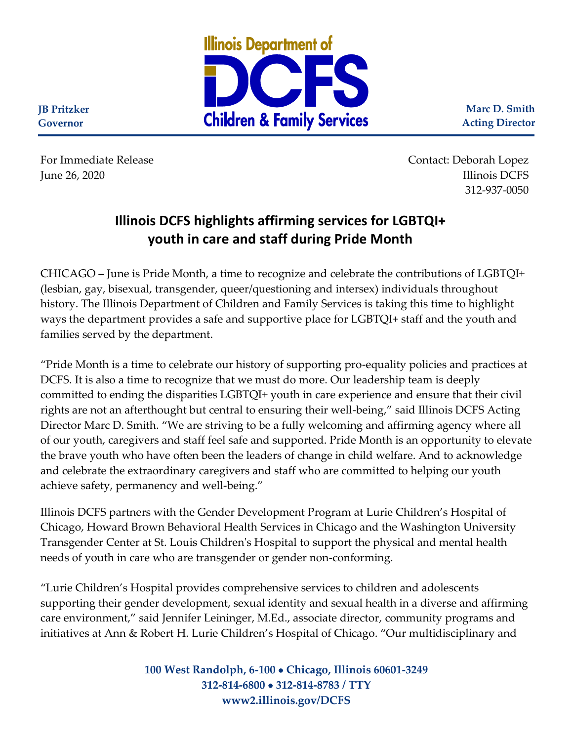

**Marc D. Smith Acting Director**

**JB Pritzker Governor**

For Immediate Release Contact: Deborah Lopez Illinois DCFS quality and the set of the set of the set of the set of the set of the set of the set of the set of the set of the set of the set of the set of the set of the set of the set of the set of the set of the set o 312-937-0050

## **Illinois DCFS highlights affirming services for LGBTQI+ youth in care and staff during Pride Month**

CHICAGO – June is Pride Month, a time to recognize and celebrate the contributions of LGBTQI+ (lesbian, gay, bisexual, transgender, queer/questioning and intersex) individuals throughout history. The Illinois Department of Children and Family Services is taking this time to highlight ways the department provides a safe and supportive place for LGBTQI+ staff and the youth and families served by the department.

"Pride Month is a time to celebrate our history of supporting pro-equality policies and practices at DCFS. It is also a time to recognize that we must do more. Our leadership team is deeply committed to ending the disparities LGBTQI+ youth in care experience and ensure that their civil rights are not an afterthought but central to ensuring their well-being," said Illinois DCFS Acting Director Marc D. Smith. "We are striving to be a fully welcoming and affirming agency where all of our youth, caregivers and staff feel safe and supported. Pride Month is an opportunity to elevate the brave youth who have often been the leaders of change in child welfare. And to acknowledge and celebrate the extraordinary caregivers and staff who are committed to helping our youth achieve safety, permanency and well-being."

Illinois DCFS partners with the Gender Development Program at Lurie Children's Hospital of Chicago, Howard Brown Behavioral Health Services in Chicago and the Washington University Transgender Center at St. Louis Children's Hospital to support the physical and mental health needs of youth in care who are transgender or gender non-conforming.

"Lurie Children's Hospital provides comprehensive services to children and adolescents supporting their gender development, sexual identity and sexual health in a diverse and affirming care environment," said Jennifer Leininger, M.Ed., associate director, community programs and initiatives at Ann & Robert H. Lurie Children's Hospital of Chicago. "Our multidisciplinary and

> **100 West Randolph, 6-100** • **Chicago, Illinois 60601-3249 312-814-6800** • **312-814-8783 / TTY www2.illinois.gov/DCFS**